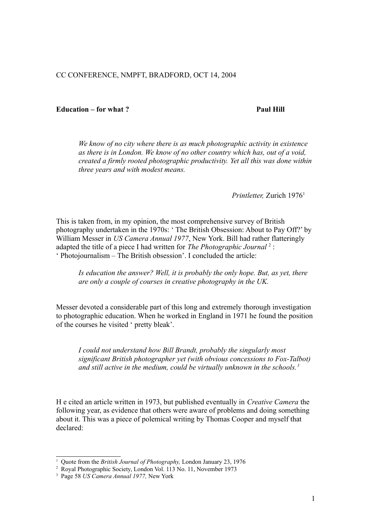## CC CONFERENCE, NMPFT, BRADFORD, OCT 14, 2004

## **Education – for what ?** Paul Hill

## *We know of no city where there is as much photographic activity in existence as there is in London. We know of no other country which has, out of a void, created a firmly rooted photographic productivity. Yet all this was done within three years and with modest means.*

 *Printletter,* Zurich 1976[1](#page-0-0)

This is taken from, in my opinion, the most comprehensive survey of British photography undertaken in the 1970s: ' The British Obsession: About to Pay Off?' by William Messer in *US Camera Annual 1977*, New York. Bill had rather flatteringly adapted the title of a piece I had written for *The Photographic Journal* [2](#page-0-1) : ' Photojournalism – The British obsession'. I concluded the article:

*Is education the answer? Well, it is probably the only hope. But, as yet, there are only a couple of courses in creative photography in the UK.*

Messer devoted a considerable part of this long and extremely thorough investigation to photographic education. When he worked in England in 1971 he found the position of the courses he visited ' pretty bleak'.

*I could not understand how Bill Brandt, probably the singularly most significant British photographer yet (with obvious concessions to Fox-Talbot) and still active in the medium, could be virtually unknown in the schools.[3](#page-0-2)*

H e cited an article written in 1973, but published eventually in *Creative Camera* the following year, as evidence that others were aware of problems and doing something about it. This was a piece of polemical writing by Thomas Cooper and myself that declared:

<span id="page-0-0"></span><sup>&</sup>lt;sup>1</sup> Quote from the *British Journal of Photography*, London January 23, 1976

<span id="page-0-1"></span><sup>2</sup> Royal Photographic Society, London Vol. 113 No. 11, November 1973

<span id="page-0-2"></span><sup>3</sup> Page 58 *US Camera Annual 1977,* New York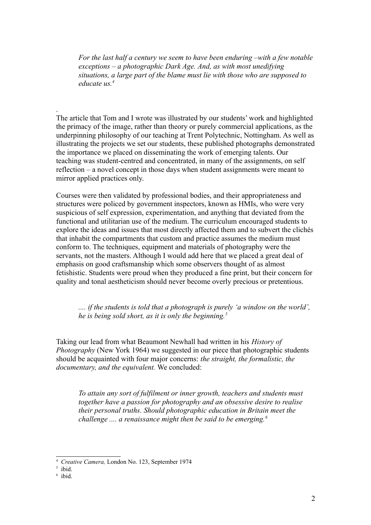*For the last half a century we seem to have been enduring –with a few notable exceptions – a photographic Dark Age. And, as with most unedifying situations, a large part of the blame must lie with those who are supposed to educate us.[4](#page-1-0)*

The article that Tom and I wrote was illustrated by our students' work and highlighted the primacy of the image, rather than theory or purely commercial applications, as the underpinning philosophy of our teaching at Trent Polytechnic, Nottingham. As well as illustrating the projects we set our students, these published photographs demonstrated the importance we placed on disseminating the work of emerging talents. Our teaching was student-centred and concentrated, in many of the assignments, on self reflection – a novel concept in those days when student assignments were meant to mirror applied practices only.

Courses were then validated by professional bodies, and their appropriateness and structures were policed by government inspectors, known as HMIs, who were very suspicious of self expression, experimentation, and anything that deviated from the functional and utilitarian use of the medium. The curriculum encouraged students to explore the ideas and issues that most directly affected them and to subvert the clichés that inhabit the compartments that custom and practice assumes the medium must conform to. The techniques, equipment and materials of photography were the servants, not the masters. Although I would add here that we placed a great deal of emphasis on good craftsmanship which some observers thought of as almost fetishistic. Students were proud when they produced a fine print, but their concern for quality and tonal aestheticism should never become overly precious or pretentious.

*.... if the students is told that a photograph is purely 'a window on the world', he is being sold short, as it is only the beginning.[5](#page-1-1)*

Taking our lead from what Beaumont Newhall had written in his *History of Photography* (New York 1964) we suggested in our piece that photographic students should be acquainted with four major concerns: *the straight, the formalistic, the documentary, and the equivalent.* We concluded:

*To attain any sort of fulfilment or inner growth, teachers and students must together have a passion for photography and an obsessive desire to realise their personal truths. Should photographic education in Britain meet the challenge .... a renaissance might then be said to be emerging.[6](#page-1-2)*

.

<span id="page-1-0"></span><sup>4</sup> *Creative Camera,* London No. 123, September 1974

<span id="page-1-1"></span><sup>5</sup> ibid.

<span id="page-1-2"></span><sup>6</sup> ibid.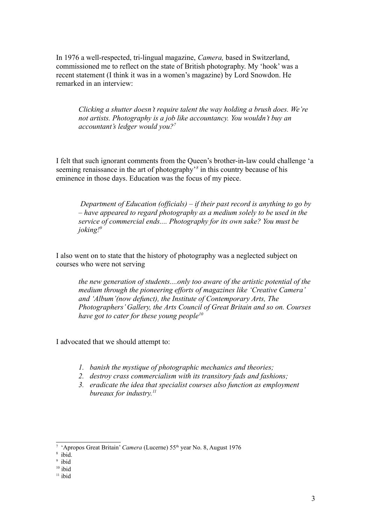In 1976 a well-respected, tri-lingual magazine, *Camera,* based in Switzerland, commissioned me to reflect on the state of British photography. My 'hook' was a recent statement (I think it was in a women's magazine) by Lord Snowdon. He remarked in an interview:

*Clicking a shutter doesn't require talent the way holding a brush does. We're not artists. Photography is a job like accountancy. You wouldn't buy an accountant's ledger would you?[7](#page-2-0)*

I felt that such ignorant comments from the Queen's brother-in-law could challenge 'a seeming renaissance in the art of photography'*[8](#page-2-1)* in this country because of his eminence in those days. Education was the focus of my piece.

 *Department of Education (officials) – if their past record is anything to go by – have appeared to regard photography as a medium solely to be used in the service of commercial ends.... Photography for its own sake? You must be joking![9](#page-2-2)*

I also went on to state that the history of photography was a neglected subject on courses who were not serving

*the new generation of students....only too aware of the artistic potential of the medium through the pioneering efforts of magazines like 'Creative Camera' and 'Album'(now defunct), the Institute of Contemporary Arts, The Photographers' Gallery, the Arts Council of Great Britain and so on. Courses have got to cater for these young people[10](#page-2-3)*

I advocated that we should attempt to:

- *1. banish the mystique of photographic mechanics and theories;*
- *2. destroy crass commercialism with its transitory fads and fashions;*
- *3. eradicate the idea that specialist courses also function as employment bureaux for industry.[11](#page-2-4)*

<span id="page-2-0"></span><sup>&</sup>lt;sup>7</sup> 'Apropos Great Britain' *Camera* (Lucerne) 55<sup>th</sup> year No. 8, August 1976

<span id="page-2-1"></span><sup>8</sup> ibid.

<span id="page-2-2"></span><sup>9</sup> ibid

<span id="page-2-3"></span> $10$  ibid

<span id="page-2-4"></span> $11$  ibid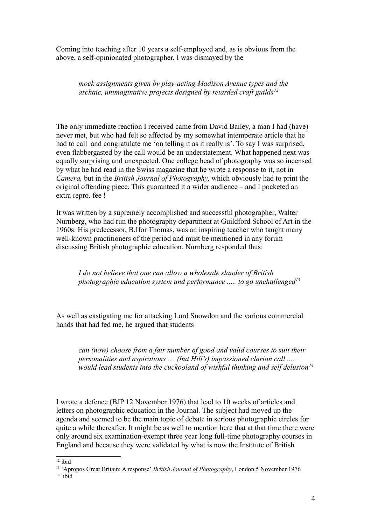Coming into teaching after 10 years a self-employed and, as is obvious from the above, a self-opinionated photographer, I was dismayed by the

*mock assignments given by play-acting Madison Avenue types and the archaic, unimaginative projects designed by retarded craft guilds[12](#page-3-0)*

The only immediate reaction I received came from David Bailey, a man I had (have) never met, but who had felt so affected by my somewhat intemperate article that he had to call and congratulate me 'on telling it as it really is'. To say I was surprised, even flabbergasted by the call would be an understatement. What happened next was equally surprising and unexpected. One college head of photography was so incensed by what he had read in the Swiss magazine that he wrote a response to it, not in *Camera,* but in the *British Journal of Photography,* which obviously had to print the original offending piece. This guaranteed it a wider audience – and I pocketed an extra repro. fee !

It was written by a supremely accomplished and successful photographer, Walter Nurnberg, who had run the photography department at Guildford School of Art in the 1960s. His predecessor, B.Ifor Thomas, was an inspiring teacher who taught many well-known practitioners of the period and must be mentioned in any forum discussing British photographic education. Nurnberg responded thus:

*I do not believe that one can allow a wholesale slander of British photographic education system and performance ..... to go unchallenged[13](#page-3-1)*

As well as castigating me for attacking Lord Snowdon and the various commercial hands that had fed me, he argued that students

*can (now) choose from a fair number of good and valid courses to suit their personalities and aspirations .... (but Hill's) impassioned clarion call ..... would lead students into the cuckooland of wishful thinking and self delusion[14](#page-3-2)*

I wrote a defence (BJP 12 November 1976) that lead to 10 weeks of articles and letters on photographic education in the Journal. The subject had moved up the agenda and seemed to be the main topic of debate in serious photographic circles for quite a while thereafter. It might be as well to mention here that at that time there were only around six examination-exempt three year long full-time photography courses in England and because they were validated by what is now the Institute of British

<span id="page-3-0"></span> $12$  ibid

<span id="page-3-1"></span><sup>13</sup> 'Apropos Great Britain: A response' *British Journal of Photography*, London 5 November 1976

<span id="page-3-2"></span><sup>14</sup> ibid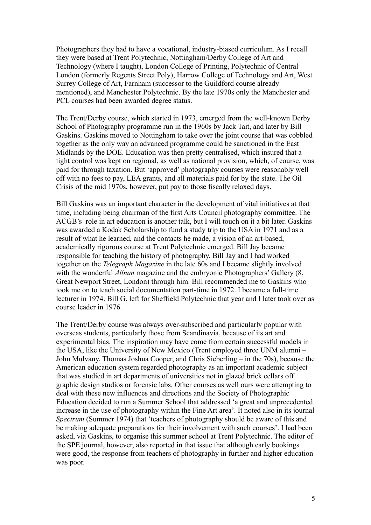Photographers they had to have a vocational, industry-biased curriculum. As I recall they were based at Trent Polytechnic, Nottingham/Derby College of Art and Technology (where I taught), London College of Printing, Polytechnic of Central London (formerly Regents Street Poly), Harrow College of Technology and Art, West Surrey College of Art, Farnham (successor to the Guildford course already mentioned), and Manchester Polytechnic. By the late 1970s only the Manchester and PCL courses had been awarded degree status.

The Trent/Derby course, which started in 1973, emerged from the well-known Derby School of Photography programme run in the 1960s by Jack Tait, and later by Bill Gaskins. Gaskins moved to Nottingham to take over the joint course that was cobbled together as the only way an advanced programme could be sanctioned in the East Midlands by the DOE. Education was then pretty centralised, which insured that a tight control was kept on regional, as well as national provision, which, of course, was paid for through taxation. But 'approved' photography courses were reasonably well off with no fees to pay, LEA grants, and all materials paid for by the state. The Oil Crisis of the mid 1970s, however, put pay to those fiscally relaxed days.

Bill Gaskins was an important character in the development of vital initiatives at that time, including being chairman of the first Arts Council photography committee. The ACGB's role in art education is another talk, but I will touch on it a bit later. Gaskins was awarded a Kodak Scholarship to fund a study trip to the USA in 1971 and as a result of what he learned, and the contacts he made, a vision of an art-based, academically rigorous course at Trent Polytechnic emerged. Bill Jay became responsible for teaching the history of photography. Bill Jay and I had worked together on the *Telegraph Magazine* in the late 60s and I became slightly involved with the wonderful *Album* magazine and the embryonic Photographers' Gallery (8, Great Newport Street, London) through him. Bill recommended me to Gaskins who took me on to teach social documentation part-time in 1972. I became a full-time lecturer in 1974. Bill G. left for Sheffield Polytechnic that year and I later took over as course leader in 1976.

The Trent/Derby course was always over-subscribed and particularly popular with overseas students, particularly those from Scandinavia, because of its art and experimental bias. The inspiration may have come from certain successful models in the USA, like the University of New Mexico (Trent employed three UNM alumni – John Mulvany, Thomas Joshua Cooper, and Chris Sieberling – in the 70s), because the American education system regarded photography as an important academic subject that was studied in art departments of universities not in glazed brick cellars off graphic design studios or forensic labs. Other courses as well ours were attempting to deal with these new influences and directions and the Society of Photographic Education decided to run a Summer School that addressed 'a great and unprecedented increase in the use of photography within the Fine Art area'. It noted also in its journal *Spectrum* (Summer 1974) that 'teachers of photography should be aware of this and be making adequate preparations for their involvement with such courses'. I had been asked, via Gaskins, to organise this summer school at Trent Polytechnic. The editor of the SPE journal, however, also reported in that issue that although early bookings were good, the response from teachers of photography in further and higher education was poor.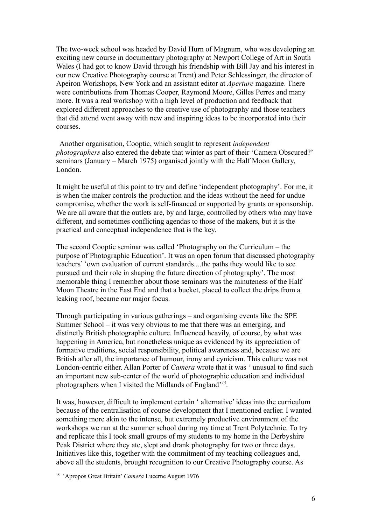The two-week school was headed by David Hurn of Magnum, who was developing an exciting new course in documentary photography at Newport College of Art in South Wales (I had got to know David through his friendship with Bill Jay and his interest in our new Creative Photography course at Trent) and Peter Schlessinger, the director of Apeiron Workshops, New York and an assistant editor at *Aperture* magazine. There were contributions from Thomas Cooper, Raymond Moore, Gilles Perres and many more. It was a real workshop with a high level of production and feedback that explored different approaches to the creative use of photography and those teachers that did attend went away with new and inspiring ideas to be incorporated into their courses.

 Another organisation, Cooptic, which sought to represent *independent photographers* also entered the debate that winter as part of their 'Camera Obscured?' seminars (January – March 1975) organised jointly with the Half Moon Gallery, London.

It might be useful at this point to try and define 'independent photography'. For me, it is when the maker controls the production and the ideas without the need for undue compromise, whether the work is self-financed or supported by grants or sponsorship. We are all aware that the outlets are, by and large, controlled by others who may have different, and sometimes conflicting agendas to those of the makers, but it is the practical and conceptual independence that is the key.

The second Cooptic seminar was called 'Photography on the Curriculum – the purpose of Photographic Education'. It was an open forum that discussed photography teachers' 'own evaluation of current standards....the paths they would like to see pursued and their role in shaping the future direction of photography'. The most memorable thing I remember about those seminars was the minuteness of the Half Moon Theatre in the East End and that a bucket, placed to collect the drips from a leaking roof, became our major focus.

Through participating in various gatherings – and organising events like the SPE Summer School – it was very obvious to me that there was an emerging, and distinctly British photographic culture. Influenced heavily, of course, by what was happening in America, but nonetheless unique as evidenced by its appreciation of formative traditions, social responsibility, political awareness and, because we are British after all, the importance of humour, irony and cynicism. This culture was not London-centric either. Allan Porter of *Camera* wrote that it was ' unusual to find such an important new sub-center of the world of photographic education and individual photographers when I visited the Midlands of England'*[15](#page-5-0)* .

It was, however, difficult to implement certain ' alternative' ideas into the curriculum because of the centralisation of course development that I mentioned earlier. I wanted something more akin to the intense, but extremely productive environment of the workshops we ran at the summer school during my time at Trent Polytechnic. To try and replicate this I took small groups of my students to my home in the Derbyshire Peak District where they ate, slept and drank photography for two or three days. Initiatives like this, together with the commitment of my teaching colleagues and, above all the students, brought recognition to our Creative Photography course. As

<span id="page-5-0"></span><sup>15</sup> 'Apropos Great Britain' *Camera* Lucerne August 1976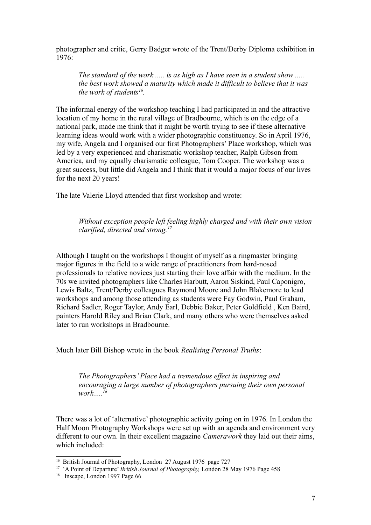photographer and critic, Gerry Badger wrote of the Trent/Derby Diploma exhibition in 1976:

*The standard of the work ..... is as high as I have seen in a student show ..... the best work showed a maturity which made it difficult to believe that it was the work of students[16](#page-6-0) .*

The informal energy of the workshop teaching I had participated in and the attractive location of my home in the rural village of Bradbourne, which is on the edge of a national park, made me think that it might be worth trying to see if these alternative learning ideas would work with a wider photographic constituency. So in April 1976, my wife, Angela and I organised our first Photographers' Place workshop, which was led by a very experienced and charismatic workshop teacher, Ralph Gibson from America, and my equally charismatic colleague, Tom Cooper. The workshop was a great success, but little did Angela and I think that it would a major focus of our lives for the next 20 years!

The late Valerie Lloyd attended that first workshop and wrote:

*Without exception people left feeling highly charged and with their own vision clarified, directed and strong.[17](#page-6-1)*

Although I taught on the workshops I thought of myself as a ringmaster bringing major figures in the field to a wide range of practitioners from hard-nosed professionals to relative novices just starting their love affair with the medium. In the 70s we invited photographers like Charles Harbutt, Aaron Siskind, Paul Caponigro, Lewis Baltz, Trent/Derby colleagues Raymond Moore and John Blakemore to lead workshops and among those attending as students were Fay Godwin, Paul Graham, Richard Sadler, Roger Taylor, Andy Earl, Debbie Baker, Peter Goldfield , Ken Baird, painters Harold Riley and Brian Clark, and many others who were themselves asked later to run workshops in Bradbourne.

Much later Bill Bishop wrote in the book *Realising Personal Truths*:

*The Photographers' Place had a tremendous effect in inspiring and encouraging a large number of photographers pursuing their own personal work.....[18](#page-6-2)*

There was a lot of 'alternative' photographic activity going on in 1976. In London the Half Moon Photography Workshops were set up with an agenda and environment very different to our own. In their excellent magazine *Camerawork* they laid out their aims, which included:

<span id="page-6-0"></span><sup>&</sup>lt;sup>16</sup> British Journal of Photography, London 27 August 1976 page 727

<span id="page-6-1"></span><sup>&</sup>lt;sup>17</sup> 'A Point of Departure' *British Journal of Photography*, London 28 May 1976 Page 458

<span id="page-6-2"></span><sup>&</sup>lt;sup>18</sup> Inscape, London 1997 Page 66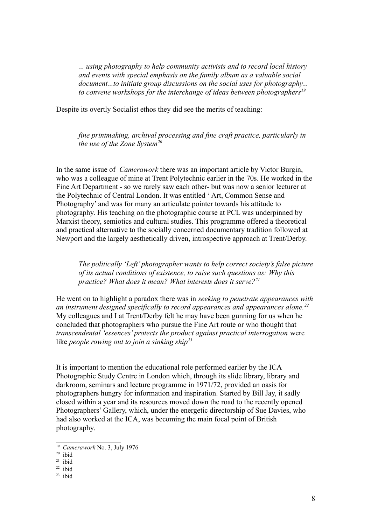*... using photography to help community activists and to record local history and events with special emphasis on the family album as a valuable social document...to initiate group discussions on the social uses for photography... to convene workshops for the interchange of ideas between photographers[19](#page-7-0)*

Despite its overtly Socialist ethos they did see the merits of teaching:

*fine printmaking, archival processing and fine craft practice, particularly in the use of the Zone System[20](#page-7-1)*

In the same issue of *Camerawork* there was an important article by Victor Burgin, who was a colleague of mine at Trent Polytechnic earlier in the 70s. He worked in the Fine Art Department - so we rarely saw each other- but was now a senior lecturer at the Polytechnic of Central London. It was entitled ' Art, Common Sense and Photography' and was for many an articulate pointer towards his attitude to photography. His teaching on the photographic course at PCL was underpinned by Marxist theory, semiotics and cultural studies. This programme offered a theoretical and practical alternative to the socially concerned documentary tradition followed at Newport and the largely aesthetically driven, introspective approach at Trent/Derby.

*The politically 'Left' photographer wants to help correct society's false picture of its actual conditions of existence, to raise such questions as: Why this practice? What does it mean? What interests does it serve?[21](#page-7-2)*

He went on to highlight a paradox there was in *seeking to penetrate appearances with an instrument designed specifically to record appearances and appearances alone.[22](#page-7-3)* My colleagues and I at Trent/Derby felt he may have been gunning for us when he concluded that photographers who pursue the Fine Art route or who thought that *transcendental 'essences' protects the product against practical interrogation* were like *people rowing out to join a sinking ship[23](#page-7-4)*

It is important to mention the educational role performed earlier by the ICA Photographic Study Centre in London which, through its slide library, library and darkroom, seminars and lecture programme in 1971/72, provided an oasis for photographers hungry for information and inspiration. Started by Bill Jay, it sadly closed within a year and its resources moved down the road to the recently opened Photographers' Gallery, which, under the energetic directorship of Sue Davies, who had also worked at the ICA, was becoming the main focal point of British photography.

<span id="page-7-0"></span><sup>19</sup> *Camerawork* No. 3, July 1976

<span id="page-7-1"></span> $20$  ibid

<span id="page-7-2"></span> $21$  ibid

<span id="page-7-3"></span> $22$  ibid

<span id="page-7-4"></span> $23$  ibid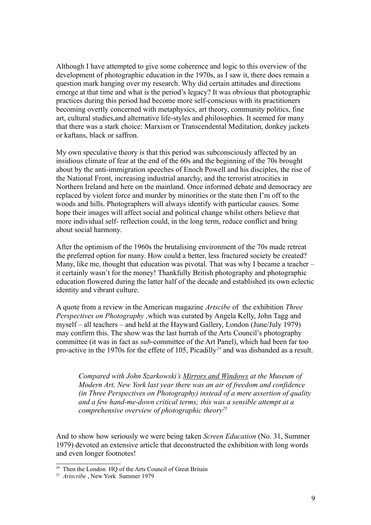Although I have attempted to give some coherence and logic to this overview of the development of photographic education in the 1970s, as I saw it, there does remain a question mark hanging over my research. Why did certain attitudes and directions emerge at that time and what is the period's legacy? It was obvious that photographic practices during this period had become more self-conscious with its practitioners becoming overtly concerned with metaphysics, art theory, community politics, fine art, cultural studies,and alternative life-styles and philosophies. It seemed for many that there was a stark choice: Marxism or Transcendental Meditation, donkey jackets or kaftans, black or saffron.

My own speculative theory is that this period was subconsciously affected by an insidious climate of fear at the end of the 60s and the beginning of the 70s brought about by the anti-immigration speeches of Enoch Powell and his disciples, the rise of the National Front, increasing industrial anarchy, and the terrorist atrocities in Northern Ireland and here on the mainland. Once informed debate and democracy are replaced by violent force and murder by minorities or the state then I'm off to the woods and hills. Photographers will always identify with particular causes. Some hope their images will affect social and political change whilst others believe that more individual self- reflection could, in the long term, reduce conflict and bring about social harmony.

After the optimism of the 1960s the brutalising environment of the 70s made retreat the preferred option for many. How could a better, less fractured society be created? Many, like me, thought that education was pivotal. That was why I became a teacher – it certainly wasn't for the money! Thankfully British photography and photographic education flowered during the latter half of the decade and established its own eclectic identity and vibrant culture.

A quote from a review in the American magazine *Artscibe* of the exhibition *Three Perspectives on Photography ,*which was curated by Angela Kelly, John Tagg and myself – all teachers – and held at the Hayward Gallery, London (June/July 1979) may confirm this. The show was the last hurrah of the Arts Council's photography committee (it was in fact as *sub*-committee of the Art Panel), which had been far too pro-active in the 1970s for the effete of 105, Picadilly*[24](#page-8-0)* and was disbanded as a result.

*Compared with John Szarkowski's Mirrors and Windows at the Museum of Modern Art, New York last year there was an air of freedom and confidence (in Three Perspectives on Photography) instead of a mere assertion of quality and a few hand-me-down critical terms; this was a sensible attempt at a comprehensive overview of photographic theory[25](#page-8-1)*

And to show how seriously we were being taken *Screen Education* (No. 31, Summer 1979) devoted an extensive article that deconstructed the exhibition with long words and even longer footnotes!

<span id="page-8-0"></span><sup>&</sup>lt;sup>24</sup> Then the London HQ of the Arts Council of Great Britain

<span id="page-8-1"></span><sup>25</sup> *Artscribe* , New York Summer 1979